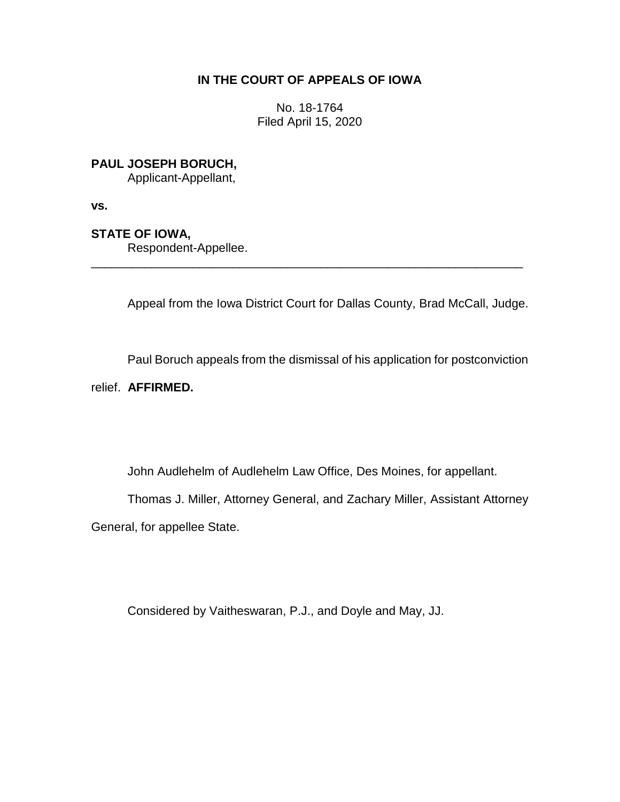## **IN THE COURT OF APPEALS OF IOWA**

No. 18-1764 Filed April 15, 2020

**PAUL JOSEPH BORUCH,**

Applicant-Appellant,

**vs.**

**STATE OF IOWA,**

Respondent-Appellee.

Appeal from the Iowa District Court for Dallas County, Brad McCall, Judge.

\_\_\_\_\_\_\_\_\_\_\_\_\_\_\_\_\_\_\_\_\_\_\_\_\_\_\_\_\_\_\_\_\_\_\_\_\_\_\_\_\_\_\_\_\_\_\_\_\_\_\_\_\_\_\_\_\_\_\_\_\_\_\_\_

Paul Boruch appeals from the dismissal of his application for postconviction

relief. **AFFIRMED.**

John Audlehelm of Audlehelm Law Office, Des Moines, for appellant.

Thomas J. Miller, Attorney General, and Zachary Miller, Assistant Attorney

General, for appellee State.

Considered by Vaitheswaran, P.J., and Doyle and May, JJ.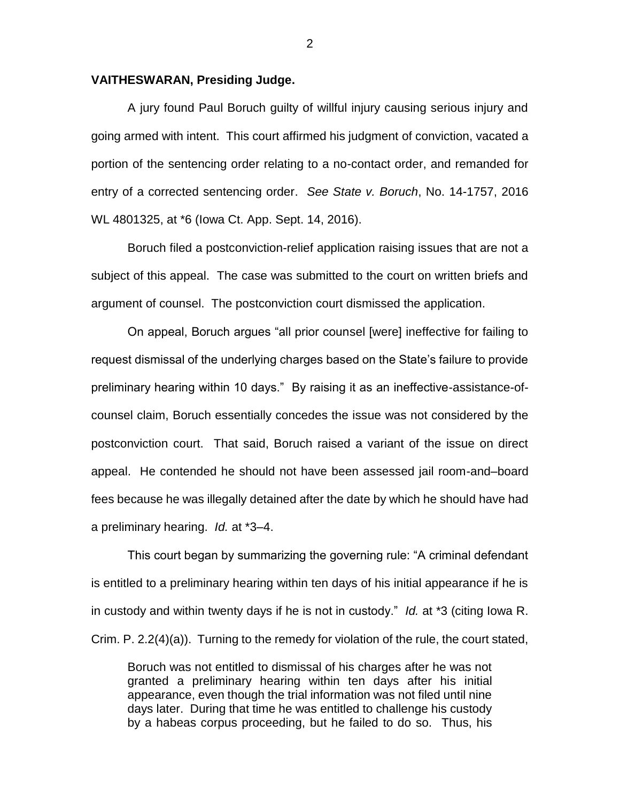## **VAITHESWARAN, Presiding Judge.**

A jury found Paul Boruch guilty of willful injury causing serious injury and going armed with intent. This court affirmed his judgment of conviction, vacated a portion of the sentencing order relating to a no-contact order, and remanded for entry of a corrected sentencing order. *See State v. Boruch*, No. 14-1757, 2016 WL 4801325, at \*6 (Iowa Ct. App. Sept. 14, 2016).

Boruch filed a postconviction-relief application raising issues that are not a subject of this appeal. The case was submitted to the court on written briefs and argument of counsel. The postconviction court dismissed the application.

On appeal, Boruch argues "all prior counsel [were] ineffective for failing to request dismissal of the underlying charges based on the State's failure to provide preliminary hearing within 10 days." By raising it as an ineffective-assistance-ofcounsel claim, Boruch essentially concedes the issue was not considered by the postconviction court. That said, Boruch raised a variant of the issue on direct appeal. He contended he should not have been assessed jail room-and–board fees because he was illegally detained after the date by which he should have had a preliminary hearing. *Id.* at \*3–4.

This court began by summarizing the governing rule: "A criminal defendant is entitled to a preliminary hearing within ten days of his initial appearance if he is in custody and within twenty days if he is not in custody." *Id.* at \*3 (citing Iowa R. Crim. P. 2.2(4)(a)). Turning to the remedy for violation of the rule, the court stated,

Boruch was not entitled to dismissal of his charges after he was not granted a preliminary hearing within ten days after his initial appearance, even though the trial information was not filed until nine days later. During that time he was entitled to challenge his custody by a habeas corpus proceeding, but he failed to do so. Thus, his